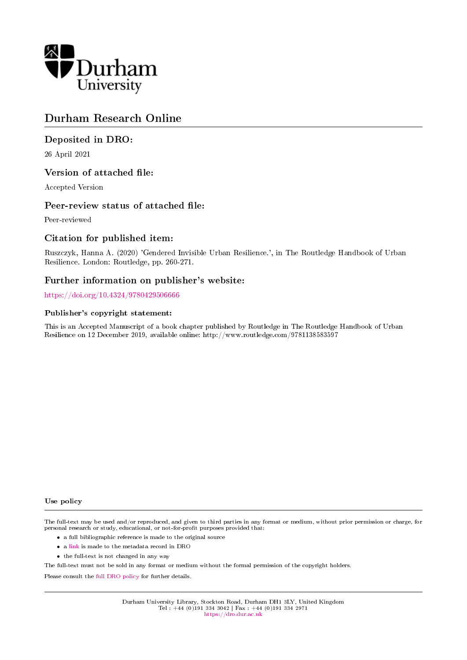

## Durham Research Online

## Deposited in DRO:

26 April 2021

## Version of attached file:

Accepted Version

## Peer-review status of attached file:

Peer-reviewed

## Citation for published item:

Ruszczyk, Hanna A. (2020) 'Gendered Invisible Urban Resilience.', in The Routledge Handbook of Urban Resilience. London: Routledge, pp. 260-271.

## Further information on publisher's website:

<https://doi.org/10.4324/9780429506666>

### Publisher's copyright statement:

This is an Accepted Manuscript of a book chapter published by Routledge in The Routledge Handbook of Urban Resilience on 12 December 2019, available online: http://www.routledge.com/9781138583597

#### Use policy

The full-text may be used and/or reproduced, and given to third parties in any format or medium, without prior permission or charge, for personal research or study, educational, or not-for-profit purposes provided that:

- a full bibliographic reference is made to the original source
- a [link](http://dro.dur.ac.uk/32910/) is made to the metadata record in DRO
- the full-text is not changed in any way

The full-text must not be sold in any format or medium without the formal permission of the copyright holders.

Please consult the [full DRO policy](https://dro.dur.ac.uk/policies/usepolicy.pdf) for further details.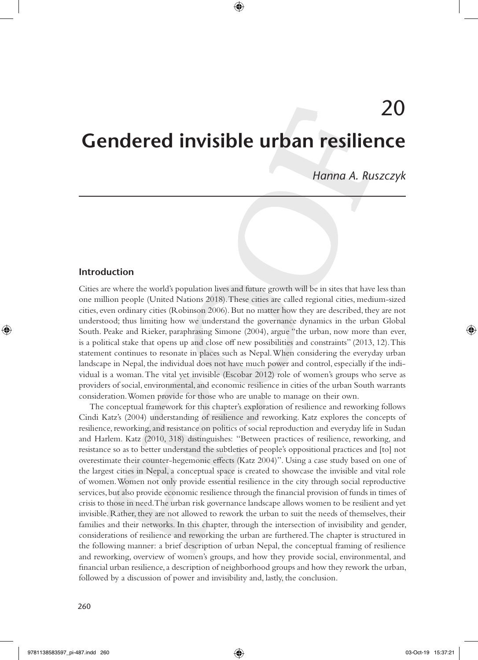# 20

## **Gendered invisible urban resilience**

⊕

## *Hanna A. Ruszczyk*

#### **Introduction**

⊕

Cities are where the world's population lives and future growth will be in sites that have less than one million people (United Nations 2018). These cities are called regional cities, medium-sized cities, even ordinary cities (Robinson 2006). But no matter how they are described, they are not understood; thus limiting how we understand the governance dynamics in the urban Global South. Peake and Rieker, paraphrasing Simone (2004), argue "the urban, now more than ever, is a political stake that opens up and close off new possibilities and constraints" (2013, 12). This statement continues to resonate in places such as Nepal. When considering the everyday urban landscape in Nepal, the individual does not have much power and control, especially if the individual is a woman. The vital yet invisible (Escobar 2012) role of women's groups who serve as providers of social, environmental, and economic resilience in cities of the urban South warrants consideration. Women provide for those who are unable to manage on their own.

The conceptual framework for this chapter's exploration of resilience and reworking follows Cindi Katz's (2004) understanding of resilience and reworking. Katz explores the concepts of resilience, reworking, and resistance on politics of social reproduction and everyday life in Sudan and Harlem. Katz (2010, 318) distinguishes: "Between practices of resilience, reworking, and resistance so as to better understand the subtleties of people's oppositional practices and [to] not overestimate their counter-hegemonic effects (Katz 2004)". Using a case study based on one of the largest cities in Nepal, a conceptual space is created to showcase the invisible and vital role of women. Women not only provide essential resilience in the city through social reproductive services, but also provide economic resilience through the financial provision of funds in times of crisis to those in need. The urban risk governance landscape allows women to be resilient and yet invisible. Rather, they are not allowed to rework the urban to suit the needs of themselves, their families and their networks. In this chapter, through the intersection of invisibility and gender, considerations of resilience and reworking the urban are furthered. The chapter is structured in the following manner: a brief description of urban Nepal, the conceptual framing of resilience and reworking, overview of women's groups, and how they provide social, environmental, and financial urban resilience, a description of neighborhood groups and how they rework the urban, followed by a discussion of power and invisibility and, lastly, the conclusion.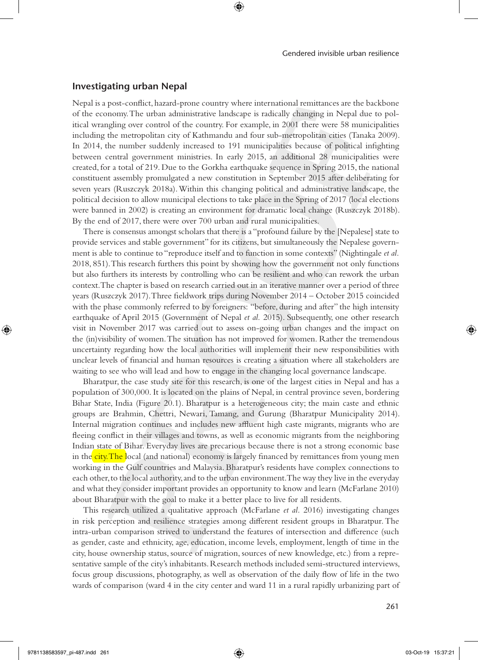#### **Investigating urban Nepal**

Nepal is a post-conflict, hazard-prone country where international remittances are the backbone of the economy. The urban administrative landscape is radically changing in Nepal due to political wrangling over control of the country. For example, in 2001 there were 58 municipalities including the metropolitan city of Kathmandu and four sub-metropolitan cities (Tanaka 2009). In 2014, the number suddenly increased to 191 municipalities because of political infighting between central government ministries. In early 2015, an additional 28 municipalities were created, for a total of 219. Due to the Gorkha earthquake sequence in Spring 2015, the national constituent assembly promulgated a new constitution in September 2015 after deliberating for seven years (Ruszczyk 2018a). Within this changing political and administrative landscape, the political decision to allow municipal elections to take place in the Spring of 2017 (local elections were banned in 2002) is creating an environment for dramatic local change (Ruszczyk 2018b). By the end of 2017, there were over 700 urban and rural municipalities.

⊕

There is consensus amongst scholars that there is a "profound failure by the [Nepalese] state to provide services and stable government" for its citizens, but simultaneously the Nepalese government is able to continue to "reproduce itself and to function in some contexts" (Nightingale *et al.* 2018, 851). This research furthers this point by showing how the government not only functions but also furthers its interests by controlling who can be resilient and who can rework the urban context. The chapter is based on research carried out in an iterative manner over a period of three years (Ruszczyk 2017). Three fieldwork trips during November 2014 – October 2015 coincided with the phase commonly referred to by foreigners: "before, during and after" the high intensity earthquake of April 2015 (Government of Nepal *et al.* 2015). Subsequently, one other research visit in November 2017 was carried out to assess on-going urban changes and the impact on the (in)visibility of women. The situation has not improved for women. Rather the tremendous uncertainty regarding how the local authorities will implement their new responsibilities with unclear levels of financial and human resources is creating a situation where all stakeholders are waiting to see who will lead and how to engage in the changing local governance landscape.

Bharatpur, the case study site for this research, is one of the largest cities in Nepal and has a population of 300,000. It is located on the plains of Nepal, in central province seven, bordering Bihar State, India (Figure 20.1). Bharatpur is a heterogeneous city; the main caste and ethnic groups are Brahmin, Chettri, Newari, Tamang, and Gurung (Bharatpur Municipality 2014). Internal migration continues and includes new affluent high caste migrants, migrants who are fleeing conflict in their villages and towns, as well as economic migrants from the neighboring Indian state of Bihar. Everyday lives are precarious because there is not a strong economic base in the city. The local (and national) economy is largely financed by remittances from young men working in the Gulf countries and Malaysia. Bharatpur's residents have complex connections to each other, to the local authority, and to the urban environment. The way they live in the everyday and what they consider important provides an opportunity to know and learn (McFarlane 2010) about Bharatpur with the goal to make it a better place to live for all residents.

This research utilized a qualitative approach (McFarlane *et al.* 2016) investigating changes in risk perception and resilience strategies among different resident groups in Bharatpur. The intra-urban comparison strived to understand the features of intersection and difference (such as gender, caste and ethnicity, age, education, income levels, employment, length of time in the city, house ownership status, source of migration, sources of new knowledge, etc.) from a representative sample of the city's inhabitants. Research methods included semi-structured interviews, focus group discussions, photography, as well as observation of the daily flow of life in the two wards of comparison (ward 4 in the city center and ward 11 in a rural rapidly urbanizing part of

↔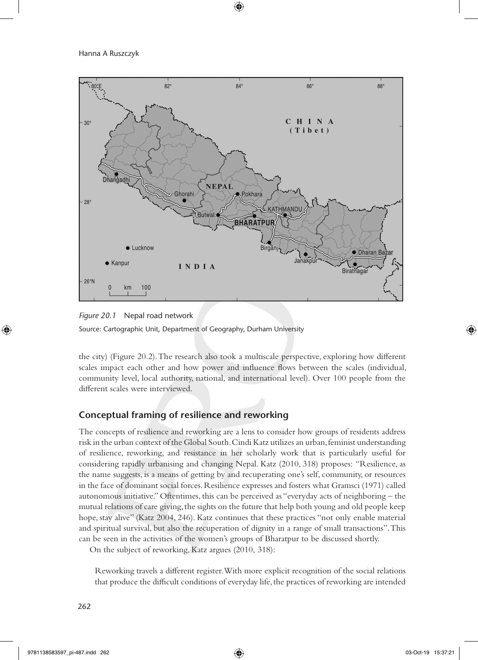

⊕

*Figure 20.1* Nepal road network

Source: Cartographic Unit, Department of Geography, Durham University

the city) (Figure 20.2). The research also took a multiscale perspective, exploring how different scales impact each other and how power and influence flows between the scales (individual, community level, local authority, national, and international level). Over 100 people from the different scales were interviewed.

#### **Conceptual framing of resilience and reworking**

The concepts of resilience and reworking are a lens to consider how groups of residents address risk in the urban context of the Global South. Cindi Katz utilizes an urban, feminist understanding of resilience, reworking, and resistance in her scholarly work that is particularly useful for considering rapidly urbanising and changing Nepal. Katz (2010, 318) proposes: "Resilience, as the name suggests, is a means of getting by and recuperating one's self, community, or resources in the face of dominant social forces. Resilience expresses and fosters what Gramsci (1971) called autonomous initiative." Oftentimes, this can be perceived as "everyday acts of neighboring – the mutual relations of care giving, the sights on the future that help both young and old people keep hope, stay alive" (Katz 2004, 246). Katz continues that these practices "not only enable material and spiritual survival, but also the recuperation of dignity in a range of small transactions". This can be seen in the activities of the women's groups of Bharatpur to be discussed shortly.

On the subject of reworking, Katz argues (2010, 318):

Reworking travels a different register. With more explicit recognition of the social relations that produce the difficult conditions of everyday life, the practices of reworking are intended

262

⊕

⊕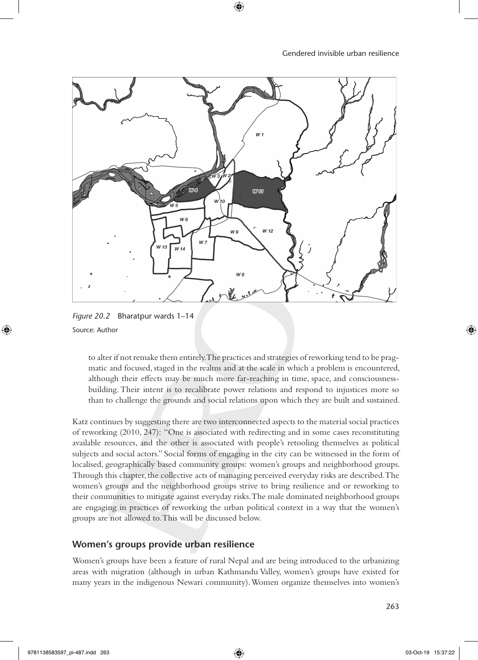#### Gendered invisible urban resilience



⊕

*Figure 20.2* Bharatpur wards 1–14 Source: Author

to alter if not remake them entirely. The practices and strategies of reworking tend to be pragmatic and focused, staged in the realms and at the scale in which a problem is encountered, although their effects may be much more far-reaching in time, space, and consciousnessbuilding. Their intent is to recalibrate power relations and respond to injustices more so than to challenge the grounds and social relations upon which they are built and sustained.

Katz continues by suggesting there are two interconnected aspects to the material social practices of reworking (2010, 247): "One is associated with redirecting and in some cases reconstituting available resources, and the other is associated with people's retooling themselves as political subjects and social actors." Social forms of engaging in the city can be witnessed in the form of localised, geographically based community groups: women's groups and neighborhood groups. Through this chapter, the collective acts of managing perceived everyday risks are described. The women's groups and the neighborhood groups strive to bring resilience and or reworking to their communities to mitigate against everyday risks. The male dominated neighborhood groups are engaging in practices of reworking the urban political context in a way that the women's groups are not allowed to. This will be discussed below.

#### **Women's groups provide urban resilience**

Women's groups have been a feature of rural Nepal and are being introduced to the urbanizing areas with migration (although in urban Kathmandu Valley, women's groups have existed for many years in the indigenous Newari community). Women organize themselves into women's

⊕

⊕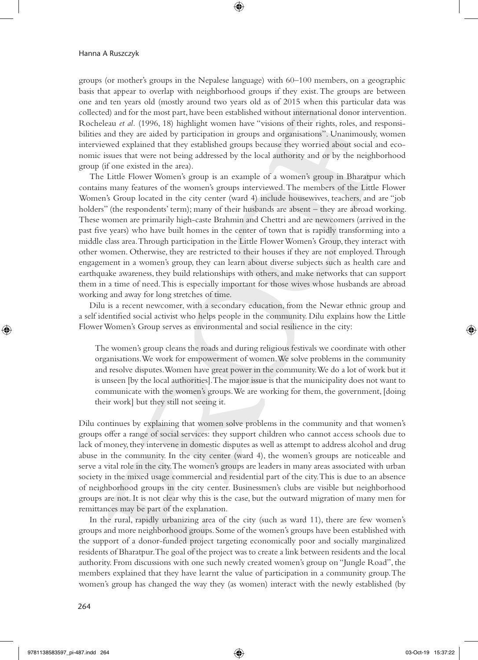groups (or mother's groups in the Nepalese language) with 60–100 members, on a geographic basis that appear to overlap with neighborhood groups if they exist. The groups are between one and ten years old (mostly around two years old as of 2015 when this particular data was collected) and for the most part, have been established without international donor intervention. Rocheleau *et al.* (1996, 18) highlight women have "visions of their rights, roles, and responsibilities and they are aided by participation in groups and organisations". Unanimously, women interviewed explained that they established groups because they worried about social and economic issues that were not being addressed by the local authority and or by the neighborhood group (if one existed in the area).

⊕

The Little Flower Women's group is an example of a women's group in Bharatpur which contains many features of the women's groups interviewed. The members of the Little Flower Women's Group located in the city center (ward 4) include housewives, teachers, and are "job holders" (the respondents' term); many of their husbands are absent – they are abroad working. These women are primarily high-caste Brahmin and Chettri and are newcomers (arrived in the past five years) who have built homes in the center of town that is rapidly transforming into a middle class area. Through participation in the Little Flower Women's Group, they interact with other women. Otherwise, they are restricted to their houses if they are not employed. Through engagement in a women's group, they can learn about diverse subjects such as health care and earthquake awareness, they build relationships with others, and make networks that can support them in a time of need. This is especially important for those wives whose husbands are abroad working and away for long stretches of time.

Dilu is a recent newcomer, with a secondary education, from the Newar ethnic group and a self identified social activist who helps people in the community. Dilu explains how the Little Flower Women's Group serves as environmental and social resilience in the city:

The women's group cleans the roads and during religious festivals we coordinate with other organisations. We work for empowerment of women. We solve problems in the community and resolve disputes. Women have great power in the community. We do a lot of work but it is unseen [by the local authorities]. The major issue is that the municipality does not want to communicate with the women's groups. We are working for them, the government, [doing their work] but they still not seeing it.

Dilu continues by explaining that women solve problems in the community and that women's groups offer a range of social services: they support children who cannot access schools due to lack of money, they intervene in domestic disputes as well as attempt to address alcohol and drug abuse in the community. In the city center (ward 4), the women's groups are noticeable and serve a vital role in the city. The women's groups are leaders in many areas associated with urban society in the mixed usage commercial and residential part of the city. This is due to an absence of neighborhood groups in the city center. Businessmen's clubs are visible but neighborhood groups are not. It is not clear why this is the case, but the outward migration of many men for remittances may be part of the explanation.

In the rural, rapidly urbanizing area of the city (such as ward 11), there are few women's groups and more neighborhood groups. Some of the women's groups have been established with the support of a donor-funded project targeting economically poor and socially marginalized residents of Bharatpur. The goal of the project was to create a link between residents and the local authority. From discussions with one such newly created women's group on "Jungle Road", the members explained that they have learnt the value of participation in a community group. The women's group has changed the way they (as women) interact with the newly established (by

↔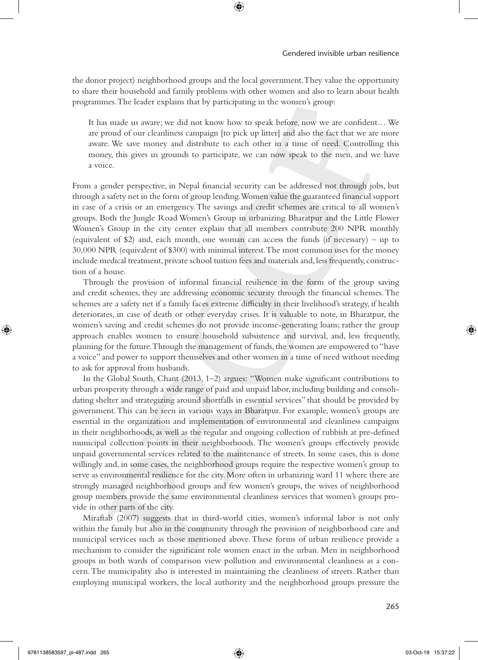the donor project) neighborhood groups and the local government. They value the opportunity to share their household and family problems with other women and also to learn about health programmes. The leader explains that by participating in the women's group:

⊕

It has made us aware; we did not know how to speak before, now we are confident… We are proud of our cleanliness campaign [to pick up litter] and also the fact that we are more aware. We save money and distribute to each other in a time of need. Controlling this money, this gives us grounds to participate, we can now speak to the men, and we have a voice.

From a gender perspective, in Nepal financial security can be addressed not through jobs, but through a safety net in the form of group lending. Women value the guaranteed financial support in case of a crisis or an emergency. The savings and credit schemes are critical to all women's groups. Both the Jungle Road Women's Group in urbanizing Bharatpur and the Little Flower Women's Group in the city center explain that all members contribute 200 NPR monthly (equivalent of \$2) and, each month, one woman can access the funds (if necessary) – up to 30,000 NPR (equivalent of \$300) with minimal interest. The most common uses for the money include medical treatment, private school tuition fees and materials and, less frequently, construction of a house.

Through the provision of informal financial resilience in the form of the group saving and credit schemes, they are addressing economic security through the financial schemes. The schemes are a safety net if a family faces extreme difficulty in their livelihood's strategy, if health deteriorates, in case of death or other everyday crises. It is valuable to note, in Bharatpur, the women's saving and credit schemes do not provide income-generating loans; rather the group approach enables women to ensure household subsistence and survival, and, less frequently, planning for the future. Through the management of funds, the women are empowered to "have a voice" and power to support themselves and other women in a time of need without needing to ask for approval from husbands.

In the Global South, Chant (2013, 1–2) argues: "Women make significant contributions to urban prosperity through a wide range of paid and unpaid labor, including building and consolidating shelter and strategizing around shortfalls in essential services" that should be provided by government. This can be seen in various ways in Bharatpur. For example, women's groups are essential in the organization and implementation of environmental and cleanliness campaigns in their neighborhoods, as well as the regular and ongoing collection of rubbish at pre-defined municipal collection points in their neighborhoods. The women's groups effectively provide unpaid governmental services related to the maintenance of streets. In some cases, this is done willingly and, in some cases, the neighborhood groups require the respective women's group to serve as environmental resilience for the city. More often in urbanizing ward 11 where there are strongly managed neighborhood groups and few women's groups, the wives of neighborhood group members provide the same environmental cleanliness services that women's groups provide in other parts of the city.

Miraftab (2007) suggests that in third-world cities, women's informal labor is not only within the family but also in the community through the provision of neighborhood care and municipal services such as those mentioned above. These forms of urban resilience provide a mechanism to consider the significant role women enact in the urban. Men in neighborhood groups in both wards of comparison view pollution and environmental cleanliness as a concern. The municipality also is interested in maintaining the cleanliness of streets. Rather than employing municipal workers, the local authority and the neighborhood groups pressure the

↔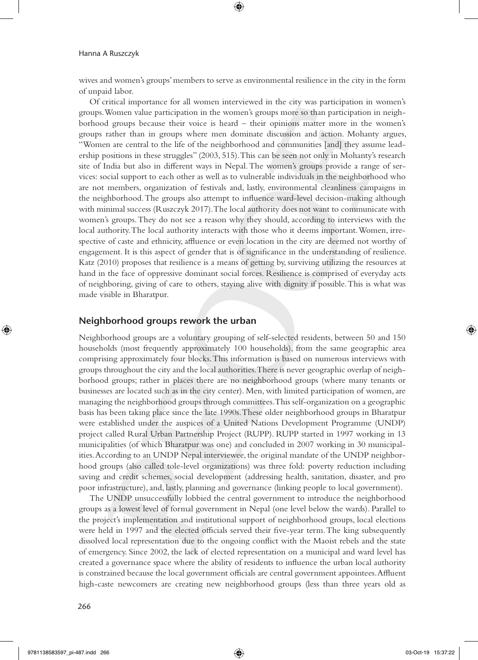wives and women's groups' members to serve as environmental resilience in the city in the form of unpaid labor.

⊕

Of critical importance for all women interviewed in the city was participation in women's groups. Women value participation in the women's groups more so than participation in neighborhood groups because their voice is heard – their opinions matter more in the women's groups rather than in groups where men dominate discussion and action. Mohanty argues, "Women are central to the life of the neighborhood and communities [and] they assume leadership positions in these struggles" (2003, 515). This can be seen not only in Mohanty's research site of India but also in different ways in Nepal. The women's groups provide a range of services: social support to each other as well as to vulnerable individuals in the neighborhood who are not members, organization of festivals and, lastly, environmental cleanliness campaigns in the neighborhood. The groups also attempt to influence ward-level decision-making although with minimal success (Ruszczyk 2017). The local authority does not want to communicate with women's groups. They do not see a reason why they should, according to interviews with the local authority. The local authority interacts with those who it deems important. Women, irrespective of caste and ethnicity, affluence or even location in the city are deemed not worthy of engagement. It is this aspect of gender that is of significance in the understanding of resilience. Katz (2010) proposes that resilience is a means of getting by, surviving utilizing the resources at hand in the face of oppressive dominant social forces. Resilience is comprised of everyday acts of neighboring, giving of care to others, staying alive with dignity if possible. This is what was made visible in Bharatpur.

#### **Neighborhood groups rework the urban**

Neighborhood groups are a voluntary grouping of self-selected residents, between 50 and 150 households (most frequently approximately 100 households), from the same geographic area comprising approximately four blocks. This information is based on numerous interviews with groups throughout the city and the local authorities. There is never geographic overlap of neighborhood groups; rather in places there are no neighborhood groups (where many tenants or businesses are located such as in the city center). Men, with limited participation of women, are managing the neighborhood groups through committees. This self-organization on a geographic basis has been taking place since the late 1990s. These older neighborhood groups in Bharatpur were established under the auspices of a United Nations Development Programme (UNDP) project called Rural Urban Partnership Project (RUPP). RUPP started in 1997 working in 13 municipalities (of which Bharatpur was one) and concluded in 2007 working in 30 municipalities. According to an UNDP Nepal interviewee, the original mandate of the UNDP neighborhood groups (also called tole-level organizations) was three fold: poverty reduction including saving and credit schemes, social development (addressing health, sanitation, disaster, and pro poor infrastructure), and, lastly, planning and governance (linking people to local government).

The UNDP unsuccessfully lobbied the central government to introduce the neighborhood groups as a lowest level of formal government in Nepal (one level below the wards). Parallel to the project's implementation and institutional support of neighborhood groups, local elections were held in 1997 and the elected officials served their five-year term. The king subsequently dissolved local representation due to the ongoing conflict with the Maoist rebels and the state of emergency. Since 2002, the lack of elected representation on a municipal and ward level has created a governance space where the ability of residents to influence the urban local authority is constrained because the local government officials are central government appointees. Affluent high-caste newcomers are creating new neighborhood groups (less than three years old as

↔

⊕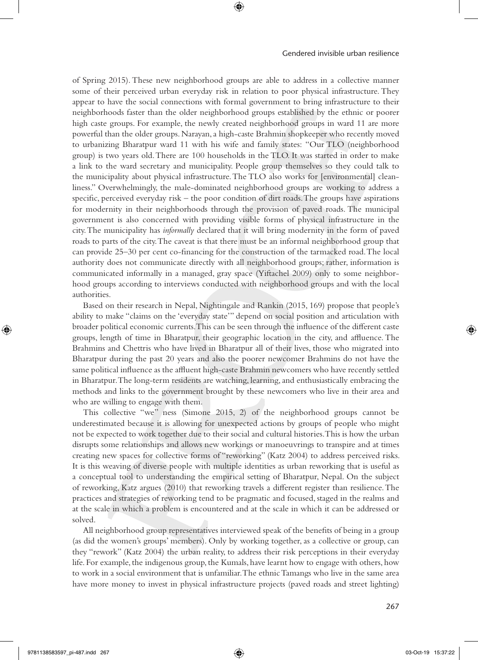of Spring 2015). These new neighborhood groups are able to address in a collective manner some of their perceived urban everyday risk in relation to poor physical infrastructure. They appear to have the social connections with formal government to bring infrastructure to their neighborhoods faster than the older neighborhood groups established by the ethnic or poorer high caste groups. For example, the newly created neighborhood groups in ward 11 are more powerful than the older groups. Narayan, a high-caste Brahmin shopkeeper who recently moved to urbanizing Bharatpur ward 11 with his wife and family states: "Our TLO (neighborhood group) is two years old. There are 100 households in the TLO. It was started in order to make a link to the ward secretary and municipality. People group themselves so they could talk to the municipality about physical infrastructure. The TLO also works for [environmental] cleanliness." Overwhelmingly, the male-dominated neighborhood groups are working to address a specific, perceived everyday risk – the poor condition of dirt roads. The groups have aspirations for modernity in their neighborhoods through the provision of paved roads. The municipal government is also concerned with providing visible forms of physical infrastructure in the city. The municipality has *informally* declared that it will bring modernity in the form of paved roads to parts of the city. The caveat is that there must be an informal neighborhood group that can provide 25–30 per cent co-financing for the construction of the tarmacked road. The local authority does not communicate directly with all neighborhood groups; rather, information is communicated informally in a managed, gray space (Yiftachel 2009) only to some neighborhood groups according to interviews conducted with neighborhood groups and with the local authorities.

⊕

Based on their research in Nepal, Nightingale and Rankin (2015, 169) propose that people's ability to make "claims on the 'everyday state'" depend on social position and articulation with broader political economic currents. This can be seen through the influence of the different caste groups, length of time in Bharatpur, their geographic location in the city, and affluence. The Brahmins and Chettris who have lived in Bharatpur all of their lives, those who migrated into Bharatpur during the past 20 years and also the poorer newcomer Brahmins do not have the same political influence as the affluent high-caste Brahmin newcomers who have recently settled in Bharatpur. The long-term residents are watching, learning, and enthusiastically embracing the methods and links to the government brought by these newcomers who live in their area and who are willing to engage with them.

This collective "we" ness (Simone 2015, 2) of the neighborhood groups cannot be underestimated because it is allowing for unexpected actions by groups of people who might not be expected to work together due to their social and cultural histories. This is how the urban disrupts some relationships and allows new workings or manoeuvrings to transpire and at times creating new spaces for collective forms of "reworking" (Katz 2004) to address perceived risks. It is this weaving of diverse people with multiple identities as urban reworking that is useful as a conceptual tool to understanding the empirical setting of Bharatpur, Nepal. On the subject of reworking, Katz argues (2010) that reworking travels a different register than resilience. The practices and strategies of reworking tend to be pragmatic and focused, staged in the realms and at the scale in which a problem is encountered and at the scale in which it can be addressed or solved.

All neighborhood group representatives interviewed speak of the benefits of being in a group (as did the women's groups' members). Only by working together, as a collective or group, can they "rework" (Katz 2004) the urban reality, to address their risk perceptions in their everyday life. For example, the indigenous group, the Kumals, have learnt how to engage with others, how to work in a social environment that is unfamiliar. The ethnic Tamangs who live in the same area have more money to invest in physical infrastructure projects (paved roads and street lighting)

↔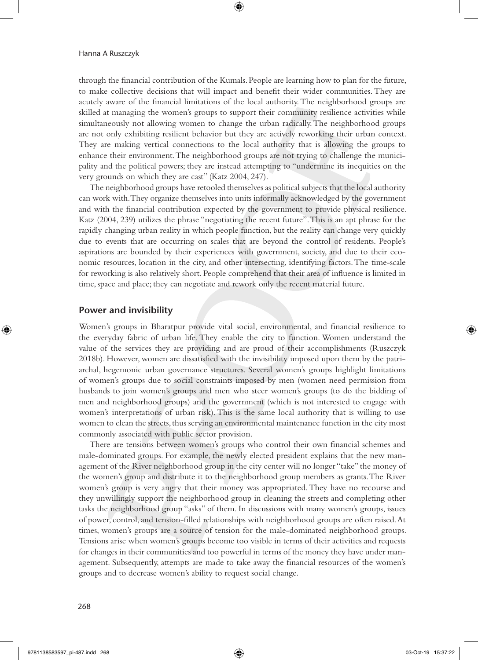through the financial contribution of the Kumals. People are learning how to plan for the future, to make collective decisions that will impact and benefit their wider communities. They are acutely aware of the financial limitations of the local authority. The neighborhood groups are skilled at managing the women's groups to support their community resilience activities while simultaneously not allowing women to change the urban radically. The neighborhood groups are not only exhibiting resilient behavior but they are actively reworking their urban context. They are making vertical connections to the local authority that is allowing the groups to enhance their environment. The neighborhood groups are not trying to challenge the municipality and the political powers; they are instead attempting to "undermine its inequities on the very grounds on which they are cast" (Katz 2004, 247).

⊕

The neighborhood groups have retooled themselves as political subjects that the local authority can work with. They organize themselves into units informally acknowledged by the government and with the financial contribution expected by the government to provide physical resilience. Katz (2004, 239) utilizes the phrase "negotiating the recent future". This is an apt phrase for the rapidly changing urban reality in which people function, but the reality can change very quickly due to events that are occurring on scales that are beyond the control of residents. People's aspirations are bounded by their experiences with government, society, and due to their economic resources, location in the city, and other intersecting, identifying factors. The time-scale for reworking is also relatively short. People comprehend that their area of influence is limited in time, space and place; they can negotiate and rework only the recent material future.

#### **Power and invisibility**

⊕

Women's groups in Bharatpur provide vital social, environmental, and financial resilience to the everyday fabric of urban life. They enable the city to function. Women understand the value of the services they are providing and are proud of their accomplishments (Ruszczyk 2018b). However, women are dissatisfied with the invisibility imposed upon them by the patriarchal, hegemonic urban governance structures. Several women's groups highlight limitations of women's groups due to social constraints imposed by men (women need permission from husbands to join women's groups and men who steer women's groups (to do the bidding of men and neighborhood groups) and the government (which is not interested to engage with women's interpretations of urban risk). This is the same local authority that is willing to use women to clean the streets, thus serving an environmental maintenance function in the city most commonly associated with public sector provision.

There are tensions between women's groups who control their own financial schemes and male-dominated groups. For example, the newly elected president explains that the new management of the River neighborhood group in the city center will no longer "take" the money of the women's group and distribute it to the neighborhood group members as grants. The River women's group is very angry that their money was appropriated. They have no recourse and they unwillingly support the neighborhood group in cleaning the streets and completing other tasks the neighborhood group "asks" of them. In discussions with many women's groups, issues of power, control, and tension-filled relationships with neighborhood groups are often raised. At times, women's groups are a source of tension for the male-dominated neighborhood groups. Tensions arise when women's groups become too visible in terms of their activities and requests for changes in their communities and too powerful in terms of the money they have under management. Subsequently, attempts are made to take away the financial resources of the women's groups and to decrease women's ability to request social change.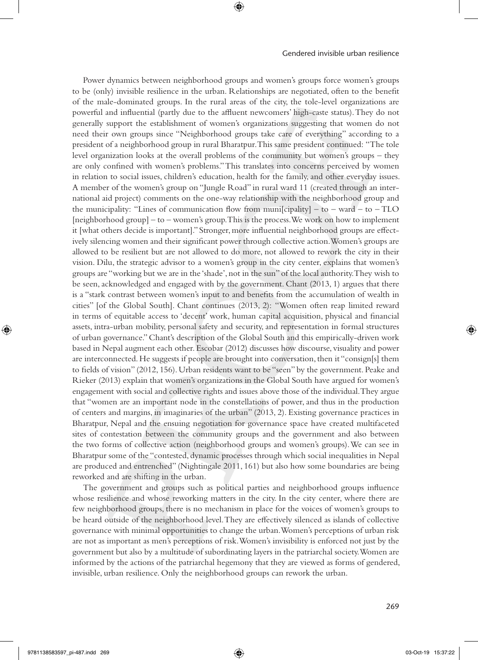Power dynamics between neighborhood groups and women's groups force women's groups to be (only) invisible resilience in the urban. Relationships are negotiated, often to the benefit of the male-dominated groups. In the rural areas of the city, the tole-level organizations are powerful and influential (partly due to the affluent newcomers' high-caste status). They do not generally support the establishment of women's organizations suggesting that women do not need their own groups since "Neighborhood groups take care of everything" according to a president of a neighborhood group in rural Bharatpur. This same president continued: "The tole level organization looks at the overall problems of the community but women's groups – they are only confined with women's problems." This translates into concerns perceived by women in relation to social issues, children's education, health for the family, and other everyday issues. A member of the women's group on "Jungle Road" in rural ward 11 (created through an international aid project) comments on the one-way relationship with the neighborhood group and the municipality: "Lines of communication flow from municipality  $-$  to  $-$  ward  $-$  to  $-$  TLO [neighborhood group] – to – women's group. This is the process. We work on how to implement it [what others decide is important]." Stronger, more influential neighborhood groups are effectively silencing women and their significant power through collective action. Women's groups are allowed to be resilient but are not allowed to do more, not allowed to rework the city in their vision. Dilu, the strategic advisor to a women's group in the city center, explains that women's groups are "working but we are in the 'shade', not in the sun" of the local authority. They wish to be seen, acknowledged and engaged with by the government. Chant (2013, 1) argues that there is a "stark contrast between women's input to and benefits from the accumulation of wealth in cities" [of the Global South]. Chant continues (2013, 2): "Women often reap limited reward in terms of equitable access to 'decent' work, human capital acquisition, physical and financial assets, intra-urban mobility, personal safety and security, and representation in formal structures of urban governance." Chant's description of the Global South and this empirically-driven work based in Nepal augment each other. Escobar (2012) discusses how discourse, visuality and power are interconnected. He suggests if people are brought into conversation, then it "consign[s] them to fields of vision" (2012, 156). Urban residents want to be "seen" by the government. Peake and Rieker (2013) explain that women's organizations in the Global South have argued for women's engagement with social and collective rights and issues above those of the individual. They argue that "women are an important node in the constellations of power, and thus in the production of centers and margins, in imaginaries of the urban" (2013, 2). Existing governance practices in Bharatpur, Nepal and the ensuing negotiation for governance space have created multifaceted sites of contestation between the community groups and the government and also between the two forms of collective action (neighborhood groups and women's groups). We can see in Bharatpur some of the "contested, dynamic processes through which social inequalities in Nepal are produced and entrenched" (Nightingale 2011, 161) but also how some boundaries are being reworked and are shifting in the urban.

⊕

The government and groups such as political parties and neighborhood groups influence whose resilience and whose reworking matters in the city. In the city center, where there are few neighborhood groups, there is no mechanism in place for the voices of women's groups to be heard outside of the neighborhood level. They are effectively silenced as islands of collective governance with minimal opportunities to change the urban. Women's perceptions of urban risk are not as important as men's perceptions of risk. Women's invisibility is enforced not just by the government but also by a multitude of subordinating layers in the patriarchal society. Women are informed by the actions of the patriarchal hegemony that they are viewed as forms of gendered, invisible, urban resilience. Only the neighborhood groups can rework the urban.

↔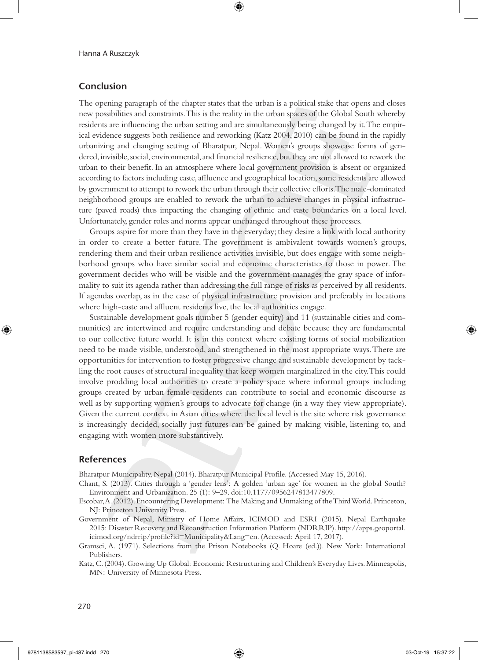#### **Conclusion**

The opening paragraph of the chapter states that the urban is a political stake that opens and closes new possibilities and constraints. This is the reality in the urban spaces of the Global South whereby residents are influencing the urban setting and are simultaneously being changed by it. The empirical evidence suggests both resilience and reworking (Katz 2004, 2010) can be found in the rapidly urbanizing and changing setting of Bharatpur, Nepal. Women's groups showcase forms of gendered, invisible, social, environmental, and financial resilience, but they are not allowed to rework the urban to their benefit. In an atmosphere where local government provision is absent or organized according to factors including caste, affluence and geographical location, some residents are allowed by government to attempt to rework the urban through their collective efforts. The male-dominated neighborhood groups are enabled to rework the urban to achieve changes in physical infrastructure (paved roads) thus impacting the changing of ethnic and caste boundaries on a local level. Unfortunately, gender roles and norms appear unchanged throughout these processes.

⊕

Groups aspire for more than they have in the everyday; they desire a link with local authority in order to create a better future. The government is ambivalent towards women's groups, rendering them and their urban resilience activities invisible, but does engage with some neighborhood groups who have similar social and economic characteristics to those in power. The government decides who will be visible and the government manages the gray space of informality to suit its agenda rather than addressing the full range of risks as perceived by all residents. If agendas overlap, as in the case of physical infrastructure provision and preferably in locations where high-caste and affluent residents live, the local authorities engage.

Sustainable development goals number 5 (gender equity) and 11 (sustainable cities and communities) are intertwined and require understanding and debate because they are fundamental to our collective future world. It is in this context where existing forms of social mobilization need to be made visible, understood, and strengthened in the most appropriate ways. There are opportunities for intervention to foster progressive change and sustainable development by tackling the root causes of structural inequality that keep women marginalized in the city. This could involve prodding local authorities to create a policy space where informal groups including groups created by urban female residents can contribute to social and economic discourse as well as by supporting women's groups to advocate for change (in a way they view appropriate). Given the current context in Asian cities where the local level is the site where risk governance is increasingly decided, socially just futures can be gained by making visible, listening to, and engaging with women more substantively.

#### **References**

↔

Bharatpur Municipality, Nepal (2014). Bharatpur Municipal Profile. (Accessed May 15, 2016).

- Chant, S. (2013). Cities through a 'gender lens': A golden 'urban age' for women in the global South? Environment and Urbanization. 25 (1): 9–29. doi:10.1177/0956247813477809.
- Escobar, A. (2012). Encountering Development: The Making and Unmaking of the Third World. Princeton, NJ: Princeton University Press.
- Government of Nepal, Ministry of Home Affairs, ICIMOD and ESRI (2015). Nepal Earthquake 2015: Disaster Recovery and Reconstruction Information Platform (NDRRIP). http://apps.geoportal. icimod.org/ndrrip/profile?id=Municipality&Lang=en. (Accessed: April 17, 2017).
- Gramsci, A. (1971). Selections from the Prison Notebooks (Q. Hoare (ed.)). New York: International Publishers.
- Katz, C. (2004). Growing Up Global: Economic Restructuring and Children's Everyday Lives. Minneapolis, MN: University of Minnesota Press.

 $\bigoplus$